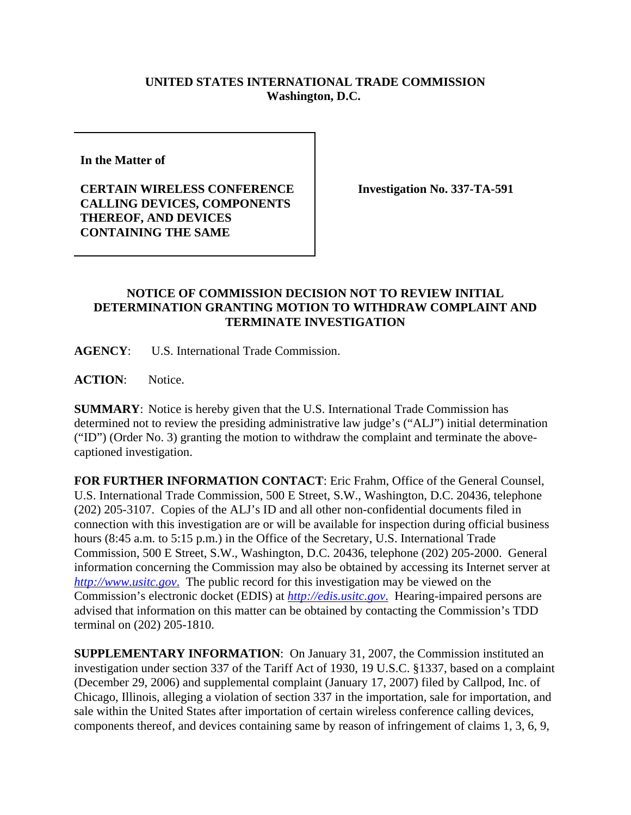## **UNITED STATES INTERNATIONAL TRADE COMMISSION Washington, D.C.**

**In the Matter of** 

**CERTAIN WIRELESS CONFERENCE CALLING DEVICES, COMPONENTS THEREOF, AND DEVICES CONTAINING THE SAME**

**Investigation No. 337-TA-591**

## **NOTICE OF COMMISSION DECISION NOT TO REVIEW INITIAL DETERMINATION GRANTING MOTION TO WITHDRAW COMPLAINT AND TERMINATE INVESTIGATION**

**AGENCY**: U.S. International Trade Commission.

ACTION: Notice.

**SUMMARY**: Notice is hereby given that the U.S. International Trade Commission has determined not to review the presiding administrative law judge's ("ALJ") initial determination ("ID") (Order No. 3) granting the motion to withdraw the complaint and terminate the abovecaptioned investigation.

**FOR FURTHER INFORMATION CONTACT**: Eric Frahm, Office of the General Counsel, U.S. International Trade Commission, 500 E Street, S.W., Washington, D.C. 20436, telephone (202) 205-3107. Copies of the ALJ's ID and all other non-confidential documents filed in connection with this investigation are or will be available for inspection during official business hours (8:45 a.m. to 5:15 p.m.) in the Office of the Secretary, U.S. International Trade Commission, 500 E Street, S.W., Washington, D.C. 20436, telephone (202) 205-2000. General information concerning the Commission may also be obtained by accessing its Internet server at *http://www.usitc.gov*. The public record for this investigation may be viewed on the Commission's electronic docket (EDIS) at *http://edis.usitc.gov*. Hearing-impaired persons are advised that information on this matter can be obtained by contacting the Commission's TDD terminal on (202) 205-1810.

**SUPPLEMENTARY INFORMATION**: On January 31, 2007, the Commission instituted an investigation under section 337 of the Tariff Act of 1930, 19 U.S.C. §1337, based on a complaint (December 29, 2006) and supplemental complaint (January 17, 2007) filed by Callpod, Inc. of Chicago, Illinois, alleging a violation of section 337 in the importation, sale for importation, and sale within the United States after importation of certain wireless conference calling devices, components thereof, and devices containing same by reason of infringement of claims 1, 3, 6, 9,